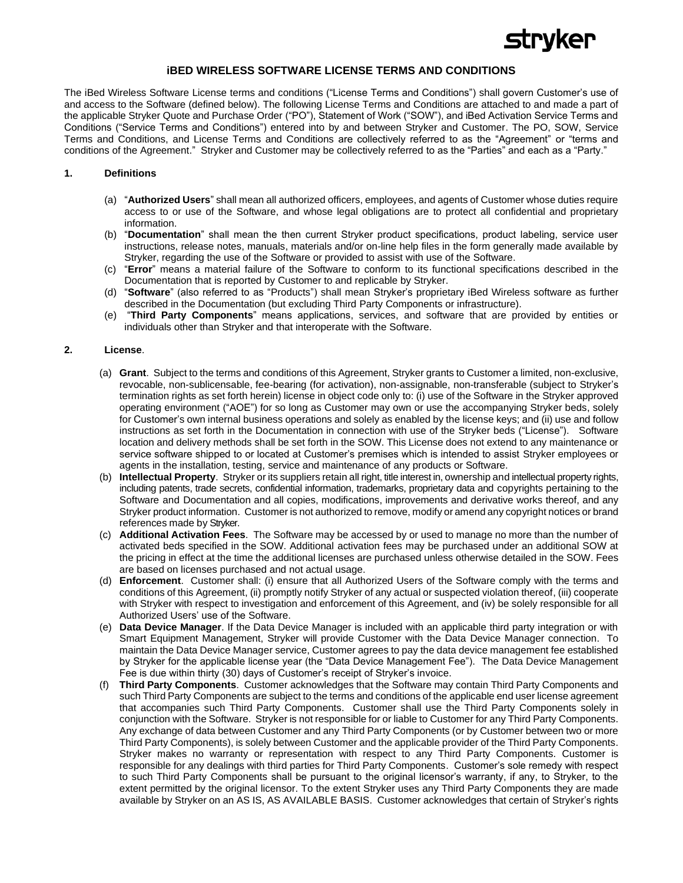

# **iBED WIRELESS SOFTWARE LICENSE TERMS AND CONDITIONS**

The iBed Wireless Software License terms and conditions ("License Terms and Conditions") shall govern Customer's use of and access to the Software (defined below). The following License Terms and Conditions are attached to and made a part of the applicable Stryker Quote and Purchase Order ("PO"), Statement of Work ("SOW"), and iBed Activation Service Terms and Conditions ("Service Terms and Conditions") entered into by and between Stryker and Customer. The PO, SOW, Service Terms and Conditions, and License Terms and Conditions are collectively referred to as the "Agreement" or "terms and conditions of the Agreement." Stryker and Customer may be collectively referred to as the "Parties" and each as a "Party."

## **1. Definitions**

- (a) "**Authorized Users**" shall mean all authorized officers, employees, and agents of Customer whose duties require access to or use of the Software, and whose legal obligations are to protect all confidential and proprietary information.
- (b) "**Documentation**" shall mean the then current Stryker product specifications, product labeling, service user instructions, release notes, manuals, materials and/or on-line help files in the form generally made available by Stryker, regarding the use of the Software or provided to assist with use of the Software.
- (c) "**Error**" means a material failure of the Software to conform to its functional specifications described in the Documentation that is reported by Customer to and replicable by Stryker.
- (d) "**Software**" (also referred to as "Products") shall mean Stryker's proprietary iBed Wireless software as further described in the Documentation (but excluding Third Party Components or infrastructure).
- (e) "**Third Party Components**" means applications, services, and software that are provided by entities or individuals other than Stryker and that interoperate with the Software.

#### **2. License**.

- (a) **Grant**. Subject to the terms and conditions of this Agreement, Stryker grants to Customer a limited, non-exclusive, revocable, non-sublicensable, fee-bearing (for activation), non-assignable, non-transferable (subject to Stryker's termination rights as set forth herein) license in object code only to: (i) use of the Software in the Stryker approved operating environment ("AOE") for so long as Customer may own or use the accompanying Stryker beds, solely for Customer's own internal business operations and solely as enabled by the license keys; and (ii) use and follow instructions as set forth in the Documentation in connection with use of the Stryker beds ("License"). Software location and delivery methods shall be set forth in the SOW. This License does not extend to any maintenance or service software shipped to or located at Customer's premises which is intended to assist Stryker employees or agents in the installation, testing, service and maintenance of any products or Software.
- (b) **Intellectual Property**. Stryker or its suppliers retain all right, title interest in, ownership and intellectual property rights, including patents, trade secrets, confidential information, trademarks, proprietary data and copyrights pertaining to the Software and Documentation and all copies, modifications, improvements and derivative works thereof, and any Stryker product information. Customer is not authorized to remove, modify or amend any copyright notices or brand references made by Stryker.
- (c) **Additional Activation Fees**. The Software may be accessed by or used to manage no more than the number of activated beds specified in the SOW. Additional activation fees may be purchased under an additional SOW at the pricing in effect at the time the additional licenses are purchased unless otherwise detailed in the SOW. Fees are based on licenses purchased and not actual usage.
- (d) **Enforcement**. Customer shall: (i) ensure that all Authorized Users of the Software comply with the terms and conditions of this Agreement, (ii) promptly notify Stryker of any actual or suspected violation thereof, (iii) cooperate with Stryker with respect to investigation and enforcement of this Agreement, and (iv) be solely responsible for all Authorized Users' use of the Software.
- (e) **Data Device Manager**. If the Data Device Manager is included with an applicable third party integration or with Smart Equipment Management, Stryker will provide Customer with the Data Device Manager connection. To maintain the Data Device Manager service, Customer agrees to pay the data device management fee established by Stryker for the applicable license year (the "Data Device Management Fee"). The Data Device Management Fee is due within thirty (30) days of Customer's receipt of Stryker's invoice.
- (f) **Third Party Components**. Customer acknowledges that the Software may contain Third Party Components and such Third Party Components are subject to the terms and conditions of the applicable end user license agreement that accompanies such Third Party Components. Customer shall use the Third Party Components solely in conjunction with the Software. Stryker is not responsible for or liable to Customer for any Third Party Components. Any exchange of data between Customer and any Third Party Components (or by Customer between two or more Third Party Components), is solely between Customer and the applicable provider of the Third Party Components. Stryker makes no warranty or representation with respect to any Third Party Components. Customer is responsible for any dealings with third parties for Third Party Components. Customer's sole remedy with respect to such Third Party Components shall be pursuant to the original licensor's warranty, if any, to Stryker, to the extent permitted by the original licensor. To the extent Stryker uses any Third Party Components they are made available by Stryker on an AS IS, AS AVAILABLE BASIS. Customer acknowledges that certain of Stryker's rights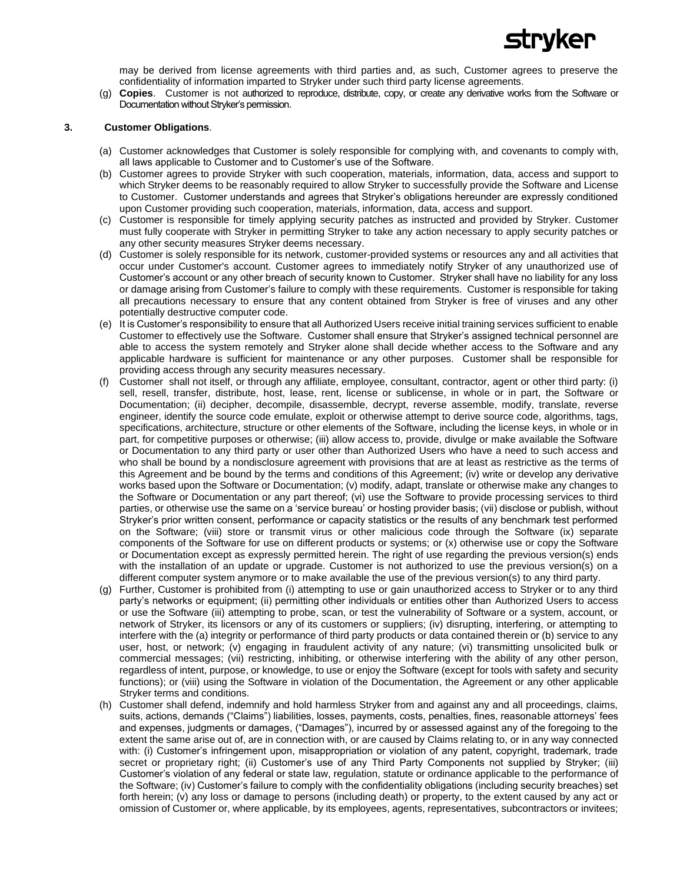

may be derived from license agreements with third parties and, as such, Customer agrees to preserve the confidentiality of information imparted to Stryker under such third party license agreements.

(g) **Copies**.Customer is not authorized to reproduce, distribute, copy, or create any derivative works from the Software or Documentation without Stryker's permission.

### **3. Customer Obligations**.

- (a) Customer acknowledges that Customer is solely responsible for complying with, and covenants to comply with, all laws applicable to Customer and to Customer's use of the Software.
- (b) Customer agrees to provide Stryker with such cooperation, materials, information, data, access and support to which Stryker deems to be reasonably required to allow Stryker to successfully provide the Software and License to Customer. Customer understands and agrees that Stryker's obligations hereunder are expressly conditioned upon Customer providing such cooperation, materials, information, data, access and support.
- (c) Customer is responsible for timely applying security patches as instructed and provided by Stryker. Customer must fully cooperate with Stryker in permitting Stryker to take any action necessary to apply security patches or any other security measures Stryker deems necessary.
- (d) Customer is solely responsible for its network, customer-provided systems or resources any and all activities that occur under Customer's account. Customer agrees to immediately notify Stryker of any unauthorized use of Customer's account or any other breach of security known to Customer. Stryker shall have no liability for any loss or damage arising from Customer's failure to comply with these requirements. Customer is responsible for taking all precautions necessary to ensure that any content obtained from Stryker is free of viruses and any other potentially destructive computer code.
- (e) It is Customer's responsibility to ensure that all Authorized Users receive initial training services sufficient to enable Customer to effectively use the Software. Customer shall ensure that Stryker's assigned technical personnel are able to access the system remotely and Stryker alone shall decide whether access to the Software and any applicable hardware is sufficient for maintenance or any other purposes. Customer shall be responsible for providing access through any security measures necessary.
- (f) Customer shall not itself, or through any affiliate, employee, consultant, contractor, agent or other third party: (i) sell, resell, transfer, distribute, host, lease, rent, license or sublicense, in whole or in part, the Software or Documentation; (ii) decipher, decompile, disassemble, decrypt, reverse assemble, modify, translate, reverse engineer, identify the source code emulate, exploit or otherwise attempt to derive source code, algorithms, tags, specifications, architecture, structure or other elements of the Software, including the license keys, in whole or in part, for competitive purposes or otherwise; (iii) allow access to, provide, divulge or make available the Software or Documentation to any third party or user other than Authorized Users who have a need to such access and who shall be bound by a nondisclosure agreement with provisions that are at least as restrictive as the terms of this Agreement and be bound by the terms and conditions of this Agreement; (iv) write or develop any derivative works based upon the Software or Documentation; (v) modify, adapt, translate or otherwise make any changes to the Software or Documentation or any part thereof; (vi) use the Software to provide processing services to third parties, or otherwise use the same on a 'service bureau' or hosting provider basis; (vii) disclose or publish, without Stryker's prior written consent, performance or capacity statistics or the results of any benchmark test performed on the Software; (viii) store or transmit virus or other malicious code through the Software (ix) separate components of the Software for use on different products or systems; or (x) otherwise use or copy the Software or Documentation except as expressly permitted herein. The right of use regarding the previous version(s) ends with the installation of an update or upgrade. Customer is not authorized to use the previous version(s) on a different computer system anymore or to make available the use of the previous version(s) to any third party.
- (g) Further, Customer is prohibited from (i) attempting to use or gain unauthorized access to Stryker or to any third party's networks or equipment; (ii) permitting other individuals or entities other than Authorized Users to access or use the Software (iii) attempting to probe, scan, or test the vulnerability of Software or a system, account, or network of Stryker, its licensors or any of its customers or suppliers; (iv) disrupting, interfering, or attempting to interfere with the (a) integrity or performance of third party products or data contained therein or (b) service to any user, host, or network; (v) engaging in fraudulent activity of any nature; (vi) transmitting unsolicited bulk or commercial messages; (vii) restricting, inhibiting, or otherwise interfering with the ability of any other person, regardless of intent, purpose, or knowledge, to use or enjoy the Software (except for tools with safety and security functions); or (viii) using the Software in violation of the Documentation, the Agreement or any other applicable Stryker terms and conditions.
- (h) Customer shall defend, indemnify and hold harmless Stryker from and against any and all proceedings, claims, suits, actions, demands ("Claims") liabilities, losses, payments, costs, penalties, fines, reasonable attorneys' fees and expenses, judgments or damages, ("Damages"), incurred by or assessed against any of the foregoing to the extent the same arise out of, are in connection with, or are caused by Claims relating to, or in any way connected with: (i) Customer's infringement upon, misappropriation or violation of any patent, copyright, trademark, trade secret or proprietary right; (ii) Customer's use of any Third Party Components not supplied by Stryker; (iii) Customer's violation of any federal or state law, regulation, statute or ordinance applicable to the performance of the Software; (iv) Customer's failure to comply with the confidentiality obligations (including security breaches) set forth herein; (v) any loss or damage to persons (including death) or property, to the extent caused by any act or omission of Customer or, where applicable, by its employees, agents, representatives, subcontractors or invitees;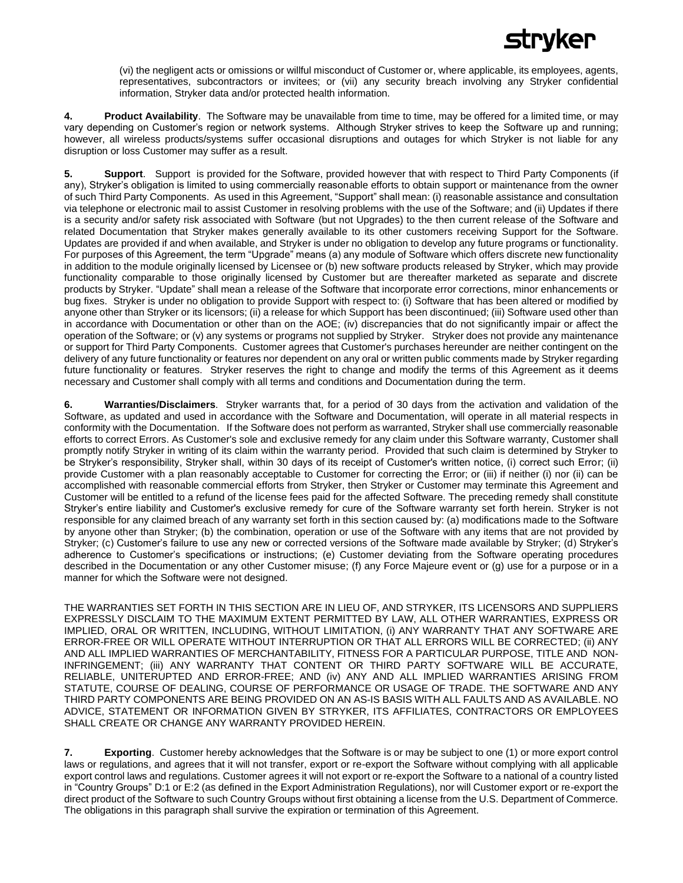# rvker

(vi) the negligent acts or omissions or willful misconduct of Customer or, where applicable, its employees, agents, representatives, subcontractors or invitees; or (vii) any security breach involving any Stryker confidential information, Stryker data and/or protected health information.

**4. Product Availability**. The Software may be unavailable from time to time, may be offered for a limited time, or may vary depending on Customer's region or network systems. Although Stryker strives to keep the Software up and running; however, all wireless products/systems suffer occasional disruptions and outages for which Stryker is not liable for any disruption or loss Customer may suffer as a result.

**5. Support**.Support is provided for the Software, provided however that with respect to Third Party Components (if any), Stryker's obligation is limited to using commercially reasonable efforts to obtain support or maintenance from the owner of such Third Party Components. As used in this Agreement, "Support" shall mean: (i) reasonable assistance and consultation via telephone or electronic mail to assist Customer in resolving problems with the use of the Software; and (ii) Updates if there is a security and/or safety risk associated with Software (but not Upgrades) to the then current release of the Software and related Documentation that Stryker makes generally available to its other customers receiving Support for the Software. Updates are provided if and when available, and Stryker is under no obligation to develop any future programs or functionality. For purposes of this Agreement, the term "Upgrade" means (a) any module of Software which offers discrete new functionality in addition to the module originally licensed by Licensee or (b) new software products released by Stryker, which may provide functionality comparable to those originally licensed by Customer but are thereafter marketed as separate and discrete products by Stryker. "Update" shall mean a release of the Software that incorporate error corrections, minor enhancements or bug fixes. Stryker is under no obligation to provide Support with respect to: (i) Software that has been altered or modified by anyone other than Stryker or its licensors; (ii) a release for which Support has been discontinued; (iii) Software used other than in accordance with Documentation or other than on the AOE; (iv) discrepancies that do not significantly impair or affect the operation of the Software; or (v) any systems or programs not supplied by Stryker. Stryker does not provide any maintenance or support for Third Party Components. Customer agrees that Customer's purchases hereunder are neither contingent on the delivery of any future functionality or features nor dependent on any oral or written public comments made by Stryker regarding future functionality or features. Stryker reserves the right to change and modify the terms of this Agreement as it deems necessary and Customer shall comply with all terms and conditions and Documentation during the term.

**6. Warranties/Disclaimers**.Stryker warrants that, for a period of 30 days from the activation and validation of the Software, as updated and used in accordance with the Software and Documentation, will operate in all material respects in conformity with the Documentation. If the Software does not perform as warranted, Stryker shall use commercially reasonable efforts to correct Errors. As Customer's sole and exclusive remedy for any claim under this Software warranty, Customer shall promptly notify Stryker in writing of its claim within the warranty period. Provided that such claim is determined by Stryker to be Stryker's responsibility, Stryker shall, within 30 days of its receipt of Customer's written notice, (i) correct such Error; (ii) provide Customer with a plan reasonably acceptable to Customer for correcting the Error; or (iii) if neither (i) nor (ii) can be accomplished with reasonable commercial efforts from Stryker, then Stryker or Customer may terminate this Agreement and Customer will be entitled to a refund of the license fees paid for the affected Software. The preceding remedy shall constitute Stryker's entire liability and Customer's exclusive remedy for cure of the Software warranty set forth herein. Stryker is not responsible for any claimed breach of any warranty set forth in this section caused by: (a) modifications made to the Software by anyone other than Stryker; (b) the combination, operation or use of the Software with any items that are not provided by Stryker; (c) Customer's failure to use any new or corrected versions of the Software made available by Stryker; (d) Stryker's adherence to Customer's specifications or instructions; (e) Customer deviating from the Software operating procedures described in the Documentation or any other Customer misuse; (f) any Force Majeure event or (g) use for a purpose or in a manner for which the Software were not designed.

THE WARRANTIES SET FORTH IN THIS SECTION ARE IN LIEU OF, AND STRYKER, ITS LICENSORS AND SUPPLIERS EXPRESSLY DISCLAIM TO THE MAXIMUM EXTENT PERMITTED BY LAW, ALL OTHER WARRANTIES, EXPRESS OR IMPLIED, ORAL OR WRITTEN, INCLUDING, WITHOUT LIMITATION, (i) ANY WARRANTY THAT ANY SOFTWARE ARE ERROR-FREE OR WILL OPERATE WITHOUT INTERRUPTION OR THAT ALL ERRORS WILL BE CORRECTED; (ii) ANY AND ALL IMPLIED WARRANTIES OF MERCHANTABILITY, FITNESS FOR A PARTICULAR PURPOSE, TITLE AND NON-INFRINGEMENT; (iii) ANY WARRANTY THAT CONTENT OR THIRD PARTY SOFTWARE WILL BE ACCURATE, RELIABLE, UNITERUPTED AND ERROR-FREE; AND (iv) ANY AND ALL IMPLIED WARRANTIES ARISING FROM STATUTE, COURSE OF DEALING, COURSE OF PERFORMANCE OR USAGE OF TRADE. THE SOFTWARE AND ANY THIRD PARTY COMPONENTS ARE BEING PROVIDED ON AN AS-IS BASIS WITH ALL FAULTS AND AS AVAILABLE. NO ADVICE, STATEMENT OR INFORMATION GIVEN BY STRYKER, ITS AFFILIATES, CONTRACTORS OR EMPLOYEES SHALL CREATE OR CHANGE ANY WARRANTY PROVIDED HEREIN.

**7. Exporting**. Customer hereby acknowledges that the Software is or may be subject to one (1) or more export control laws or regulations, and agrees that it will not transfer, export or re-export the Software without complying with all applicable export control laws and regulations. Customer agrees it will not export or re-export the Software to a national of a country listed in "Country Groups" D:1 or E:2 (as defined in the Export Administration Regulations), nor will Customer export or re-export the direct product of the Software to such Country Groups without first obtaining a license from the U.S. Department of Commerce. The obligations in this paragraph shall survive the expiration or termination of this Agreement.